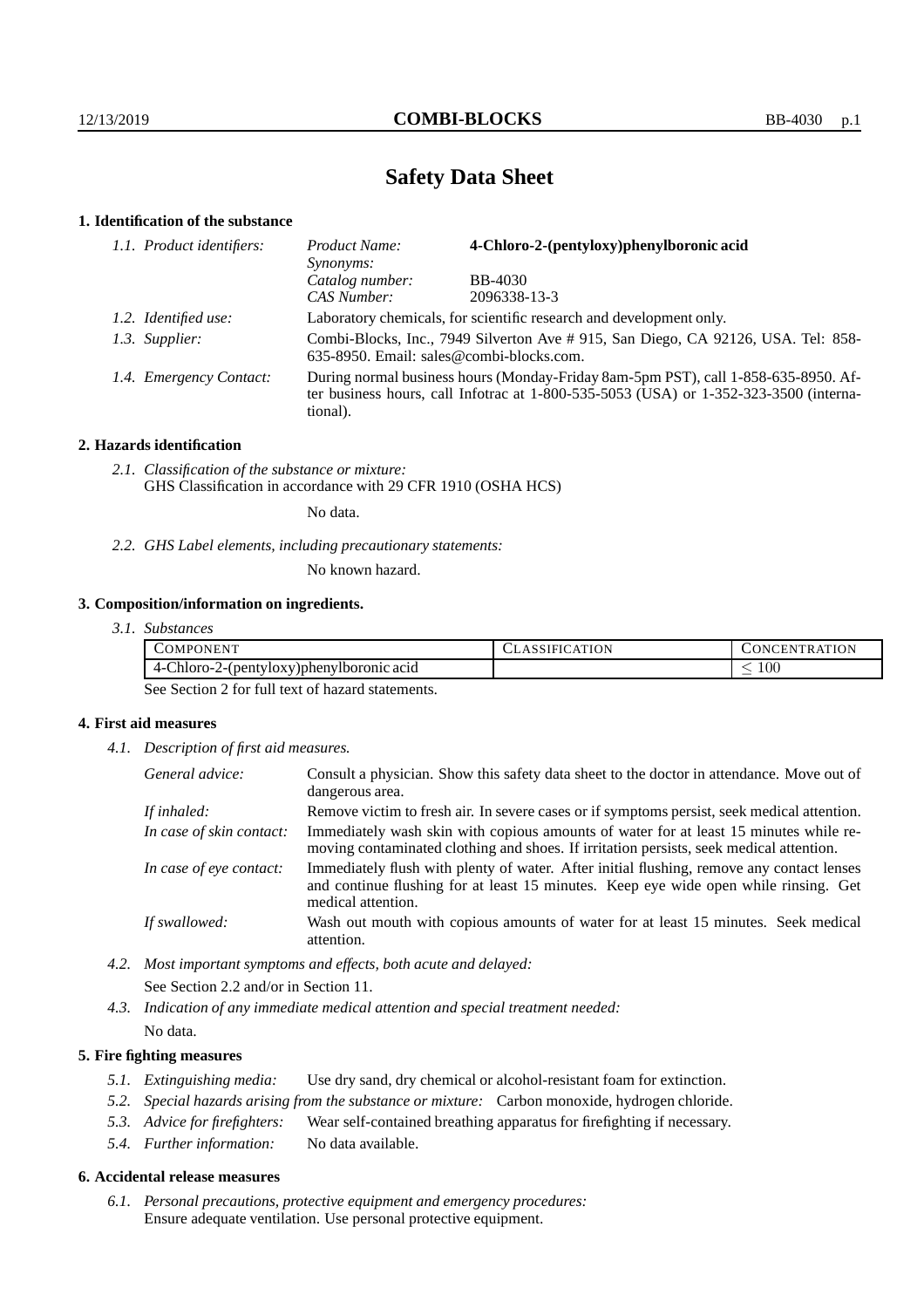# **Safety Data Sheet**

# **1. Identification of the substance**

| 1.1. Product identifiers: | Product Name:<br><i>Synonyms:</i>                                   | 4-Chloro-2-(pentyloxy)phenylboronic acid                                                                                                                                        |
|---------------------------|---------------------------------------------------------------------|---------------------------------------------------------------------------------------------------------------------------------------------------------------------------------|
|                           | Catalog number:                                                     | <b>BB-4030</b>                                                                                                                                                                  |
|                           | CAS Number:                                                         | 2096338-13-3                                                                                                                                                                    |
| 1.2. Identified use:      | Laboratory chemicals, for scientific research and development only. |                                                                                                                                                                                 |
| 1.3. Supplier:            | 635-8950. Email: sales@combi-blocks.com.                            | Combi-Blocks, Inc., 7949 Silverton Ave #915, San Diego, CA 92126, USA. Tel: 858-                                                                                                |
| 1.4. Emergency Contact:   | tional).                                                            | During normal business hours (Monday-Friday 8am-5pm PST), call 1-858-635-8950. Af-<br>ter business hours, call Infotrac at $1-800-535-5053$ (USA) or $1-352-323-3500$ (interna- |

### **2. Hazards identification**

*2.1. Classification of the substance or mixture:* GHS Classification in accordance with 29 CFR 1910 (OSHA HCS)

No data.

*2.2. GHS Label elements, including precautionary statements:*

No known hazard.

## **3. Composition/information on ingredients.**

| .JMP'<br>ורו<br><b>HN</b>                                             | 10 D N<br>. . | <b>INI</b><br>N<br>$\mathbf{r}$<br>н. |
|-----------------------------------------------------------------------|---------------|---------------------------------------|
| . .<br>2-(pentyloxy)phenylborg<br>$Chloro-$ '<br>'Iboronic acid<br>4- |               | 100<br>$\overline{\phantom{a}}$       |

See Section 2 for full text of hazard statements.

## **4. First aid measures**

*4.1. Description of first aid measures.*

| General advice:          | Consult a physician. Show this safety data sheet to the doctor in attendance. Move out of<br>dangerous area.                                                                                            |
|--------------------------|---------------------------------------------------------------------------------------------------------------------------------------------------------------------------------------------------------|
| If inhaled:              | Remove victim to fresh air. In severe cases or if symptoms persist, seek medical attention.                                                                                                             |
| In case of skin contact: | Immediately wash skin with copious amounts of water for at least 15 minutes while re-<br>moving contaminated clothing and shoes. If irritation persists, seek medical attention.                        |
| In case of eye contact:  | Immediately flush with plenty of water. After initial flushing, remove any contact lenses<br>and continue flushing for at least 15 minutes. Keep eye wide open while rinsing. Get<br>medical attention. |
| If swallowed:            | Wash out mouth with copious amounts of water for at least 15 minutes. Seek medical<br>attention.                                                                                                        |

- *4.2. Most important symptoms and effects, both acute and delayed:* See Section 2.2 and/or in Section 11.
- *4.3. Indication of any immediate medical attention and special treatment needed:* No data.

### **5. Fire fighting measures**

- *5.1. Extinguishing media:* Use dry sand, dry chemical or alcohol-resistant foam for extinction.
- *5.2. Special hazards arising from the substance or mixture:* Carbon monoxide, hydrogen chloride.
- *5.3. Advice for firefighters:* Wear self-contained breathing apparatus for firefighting if necessary.
- *5.4. Further information:* No data available.

#### **6. Accidental release measures**

*6.1. Personal precautions, protective equipment and emergency procedures:* Ensure adequate ventilation. Use personal protective equipment.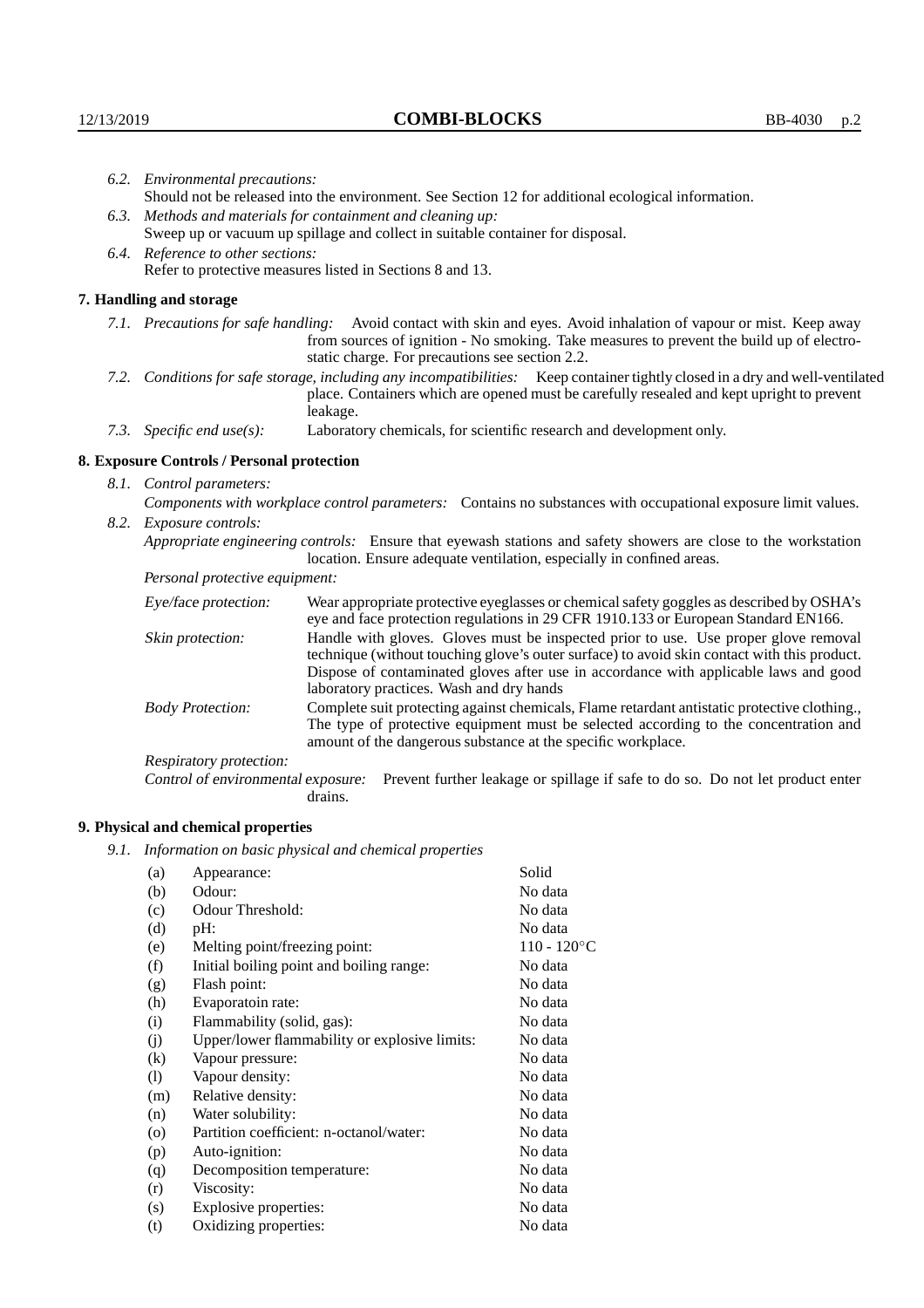| 6.2. Environmental precautions:   |                                                                                                    |                                                                                                                                                                                                                                                                                                                        |  |  |  |
|-----------------------------------|----------------------------------------------------------------------------------------------------|------------------------------------------------------------------------------------------------------------------------------------------------------------------------------------------------------------------------------------------------------------------------------------------------------------------------|--|--|--|
|                                   | Should not be released into the environment. See Section 12 for additional ecological information. |                                                                                                                                                                                                                                                                                                                        |  |  |  |
|                                   | 6.3. Methods and materials for containment and cleaning up:                                        |                                                                                                                                                                                                                                                                                                                        |  |  |  |
|                                   | Sweep up or vacuum up spillage and collect in suitable container for disposal.                     |                                                                                                                                                                                                                                                                                                                        |  |  |  |
| 6.4. Reference to other sections: |                                                                                                    |                                                                                                                                                                                                                                                                                                                        |  |  |  |
|                                   | Refer to protective measures listed in Sections 8 and 13.                                          |                                                                                                                                                                                                                                                                                                                        |  |  |  |
|                                   | 7. Handling and storage                                                                            |                                                                                                                                                                                                                                                                                                                        |  |  |  |
|                                   |                                                                                                    | 7.1. Precautions for safe handling: Avoid contact with skin and eyes. Avoid inhalation of vapour or mist. Keep away<br>from sources of ignition - No smoking. Take measures to prevent the build up of electro-<br>static charge. For precautions see section 2.2.                                                     |  |  |  |
|                                   |                                                                                                    | 7.2. Conditions for safe storage, including any incompatibilities: Keep container tightly closed in a dry and well-ventilated<br>place. Containers which are opened must be carefully resealed and kept upright to prevent<br>leakage.                                                                                 |  |  |  |
|                                   | 7.3. Specific end use(s):                                                                          | Laboratory chemicals, for scientific research and development only.                                                                                                                                                                                                                                                    |  |  |  |
|                                   | 8. Exposure Controls / Personal protection                                                         |                                                                                                                                                                                                                                                                                                                        |  |  |  |
|                                   | 8.1. Control parameters:                                                                           |                                                                                                                                                                                                                                                                                                                        |  |  |  |
|                                   |                                                                                                    | Components with workplace control parameters: Contains no substances with occupational exposure limit values.                                                                                                                                                                                                          |  |  |  |
|                                   | 8.2. Exposure controls:                                                                            |                                                                                                                                                                                                                                                                                                                        |  |  |  |
|                                   |                                                                                                    | Appropriate engineering controls: Ensure that eyewash stations and safety showers are close to the workstation<br>location. Ensure adequate ventilation, especially in confined areas.                                                                                                                                 |  |  |  |
|                                   | Personal protective equipment:                                                                     |                                                                                                                                                                                                                                                                                                                        |  |  |  |
|                                   | Eye/face protection:                                                                               | Wear appropriate protective eyeglasses or chemical safety goggles as described by OSHA's<br>eye and face protection regulations in 29 CFR 1910.133 or European Standard EN166.                                                                                                                                         |  |  |  |
|                                   | Skin protection:                                                                                   | Handle with gloves. Gloves must be inspected prior to use. Use proper glove removal<br>technique (without touching glove's outer surface) to avoid skin contact with this product.<br>Dispose of contaminated gloves after use in accordance with applicable laws and good<br>laboratory practices. Wash and dry hands |  |  |  |
|                                   | <b>Body Protection:</b>                                                                            | Complete suit protecting against chemicals, Flame retardant antistatic protective clothing.,<br>The type of protective equipment must be selected according to the concentration and<br>amount of the dangerous substance at the specific workplace.                                                                   |  |  |  |
|                                   | Respiratory protection:                                                                            |                                                                                                                                                                                                                                                                                                                        |  |  |  |

Control of environmental exposure: Prevent further leakage or spillage if safe to do so. Do not let product enter drains.

# **9. Physical and chemical properties**

*9.1. Information on basic physical and chemical properties*

| (a)                | Appearance:                                   | Solid          |
|--------------------|-----------------------------------------------|----------------|
| (b)                | Odour:                                        | No data        |
| (c)                | Odour Threshold:                              | No data        |
| (d)                | pH:                                           | No data        |
| (e)                | Melting point/freezing point:                 | $110 - 120$ °C |
| (f)                | Initial boiling point and boiling range:      | No data        |
| (g)                | Flash point:                                  | No data        |
| (h)                | Evaporatoin rate:                             | No data        |
| (i)                | Flammability (solid, gas):                    | No data        |
| (j)                | Upper/lower flammability or explosive limits: | No data        |
| $\rm(k)$           | Vapour pressure:                              | No data        |
| (1)                | Vapour density:                               | No data        |
| (m)                | Relative density:                             | No data        |
| (n)                | Water solubility:                             | No data        |
| $\left( 0 \right)$ | Partition coefficient: n-octanol/water:       | No data        |
| (p)                | Auto-ignition:                                | No data        |
| (q)                | Decomposition temperature:                    | No data        |
| (r)                | Viscosity:                                    | No data        |
| (s)                | Explosive properties:                         | No data        |
| (t)                | Oxidizing properties:                         | No data        |